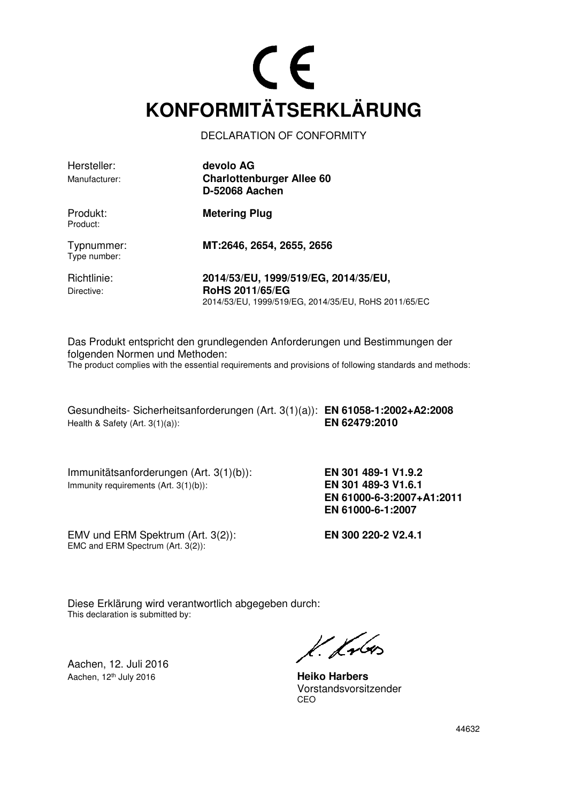### CE **KONFORMITÄTSERKLÄRUNG**

DECLARATION OF CONFORMITY

| Hersteller:                | devolo AG                                                                                                              |
|----------------------------|------------------------------------------------------------------------------------------------------------------------|
| Manufacturer:              | <b>Charlottenburger Allee 60</b><br>D-52068 Aachen                                                                     |
| Produkt:<br>Product:       | <b>Metering Plug</b>                                                                                                   |
| Typnummer:<br>Type number: | MT:2646, 2654, 2655, 2656                                                                                              |
| Richtlinie:<br>Directive:  | 2014/53/EU, 1999/519/EG, 2014/35/EU,<br><b>RoHS 2011/65/EG</b><br>2014/53/EU, 1999/519/EG, 2014/35/EU, RoHS 2011/65/EC |

Das Produkt entspricht den grundlegenden Anforderungen und Bestimmungen der folgenden Normen und Methoden: The product complies with the essential requirements and provisions of following standards and methods:

Gesundheits- Sicherheitsanforderungen (Art. 3(1)(a)): **EN 61058-1:2002+A2:2008**  Health & Safety (Art. 3(1)(a)): **EN 62479:2010**

Immunitätsanforderungen (Art. 3(1)(b)): **EN 301 489-1 V1.9.2**  Immunity requirements (Art. 3(1)(b)): **EN 301 489-3 V1.6.1** 

 **EN 61000-6-3:2007+A1:2011 EN 61000-6-1:2007** 

EMV und ERM Spektrum (Art. 3(2)): **EN 300 220-2 V2.4.1** EMC and ERM Spectrum (Art. 3(2)):

Diese Erklärung wird verantwortlich abgegeben durch: This declaration is submitted by:

Aachen, 12. Juli 2016 Aachen, 12th July 2016 **Heiko Harbers**

k. Kr6

 Vorstandsvorsitzender <u>CEO de la contrada de la contrada de la contrada de la contrada de la contrada de la contrada de la con</u>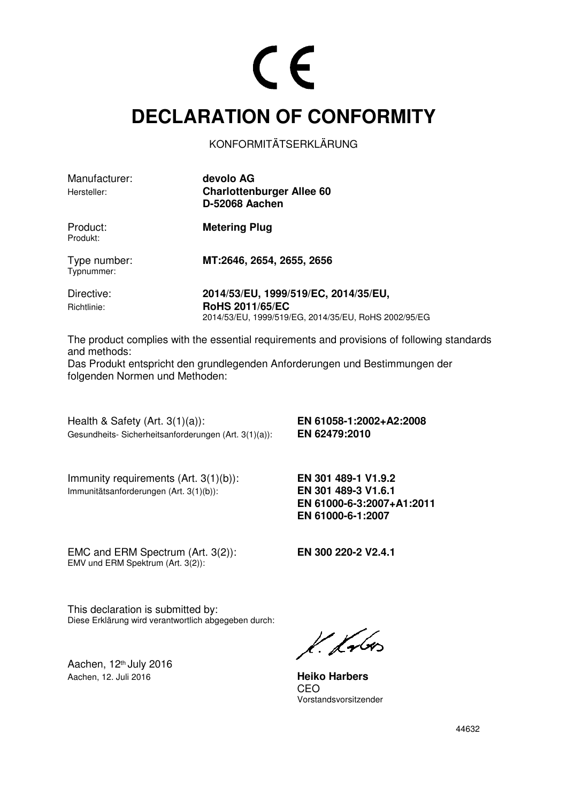#### **DECLARATION OF CONFORMITY**

KONFORMITÄTSERKLÄRUNG

| Manufacturer:<br>Hersteller: | devolo AG<br><b>Charlottenburger Allee 60</b><br><b>D-52068 Aachen</b>                                                 |
|------------------------------|------------------------------------------------------------------------------------------------------------------------|
| Product:<br>Produkt:         | <b>Metering Plug</b>                                                                                                   |
| Type number:<br>Typnummer:   | MT:2646, 2654, 2655, 2656                                                                                              |
| Directive:<br>Richtlinie:    | 2014/53/EU, 1999/519/EC, 2014/35/EU,<br><b>RoHS 2011/65/EC</b><br>2014/53/EU, 1999/519/EG, 2014/35/EU, RoHS 2002/95/EG |

The product complies with the essential requirements and provisions of following standards and methods:

Das Produkt entspricht den grundlegenden Anforderungen und Bestimmungen der folgenden Normen und Methoden:

Health & Safety (Art. 3(1)(a)): **EN 61058-1:2002+A2:2008**  Gesundheits- Sicherheitsanforderungen (Art. 3(1)(a)): **EN 62479:2010** 

Immunity requirements (Art. 3(1)(b)): **EN 301 489-1 V1.9.2**  Immunitätsanforderungen (Art. 3(1)(b)): **EN 301 489-3 V1.6.1**

 **EN 61000-6-3:2007+A1:2011 EN 61000-6-1:2007**

EMC and ERM Spectrum (Art. 3(2)): **EN 300 220-2 V2.4.1**  EMV und ERM Spektrum (Art. 3(2)):

This declaration is submitted by: Diese Erklärung wird verantwortlich abgegeben durch:

Aachen, 12th July 2016 Aachen, 12. Juli 2016 **Heiko Harbers**

 $k.$  from

<u>CEO de la contrada de la contrada de la contrada de la contrada de la con</u> Vorstandsvorsitzender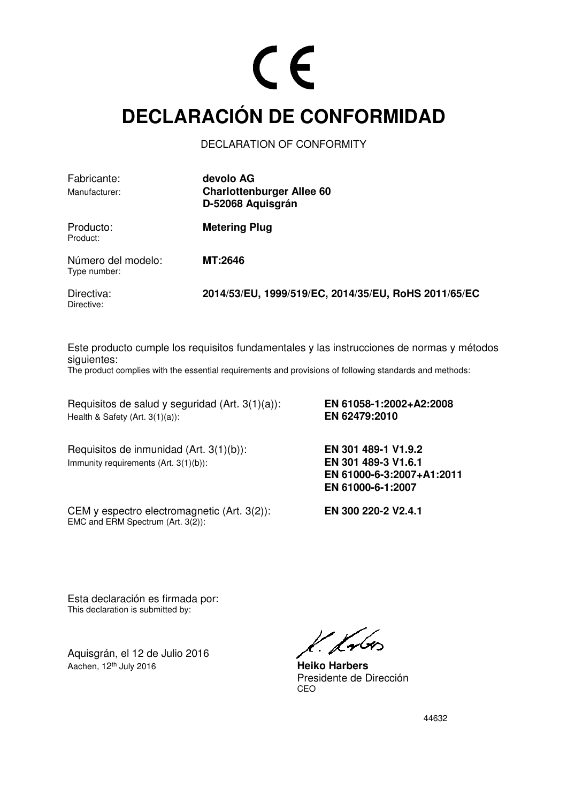#### **DECLARACIÓN DE CONFORMIDAD**

DECLARATION OF CONFORMITY

| Fabricante:                        | devolo AG                                            |
|------------------------------------|------------------------------------------------------|
| Manufacturer:                      | <b>Charlottenburger Allee 60</b>                     |
|                                    | D-52068 Aquisgrán                                    |
| Producto:<br>Product:              | <b>Metering Plug</b>                                 |
| Número del modelo:<br>Type number: | <b>MT:2646</b>                                       |
| Directiva:<br>Directive:           | 2014/53/EU, 1999/519/EC, 2014/35/EU, RoHS 2011/65/EC |

Este producto cumple los requisitos fundamentales y las instrucciones de normas y métodos siguientes:

The product complies with the essential requirements and provisions of following standards and methods:

Requisitos de salud y seguridad (Art. 3(1)(a)): **EN 61058-1:2002+A2:2008**  Health & Safety (Art. 3(1)(a)):

Requisitos de inmunidad (Art. 3(1)(b)): **EN 301 489-1 V1.9.2**  Immunity requirements (Art. 3(1)(b)): **EN 301 489-3 V1.6.1** 

CEM y espectro electromagnetic (Art. 3(2)): **EN 300 220-2 V2.4.1**  EMC and ERM Spectrum (Art. 3(2)):

 **EN 61000-6-3:2007+A1:2011 EN 61000-6-1:2007**

Esta declaración es firmada por: This declaration is submitted by:

Aquisgrán, el 12 de Julio 2016 Aachen, 12<sup>th</sup> July 2016

k. frbr.

**Heiko Harbers** Presidente de Dirección<br>CEO <u>CEO de la contrada de la contrada de la contrada de la contrada de la contrada de la contrada de la con</u>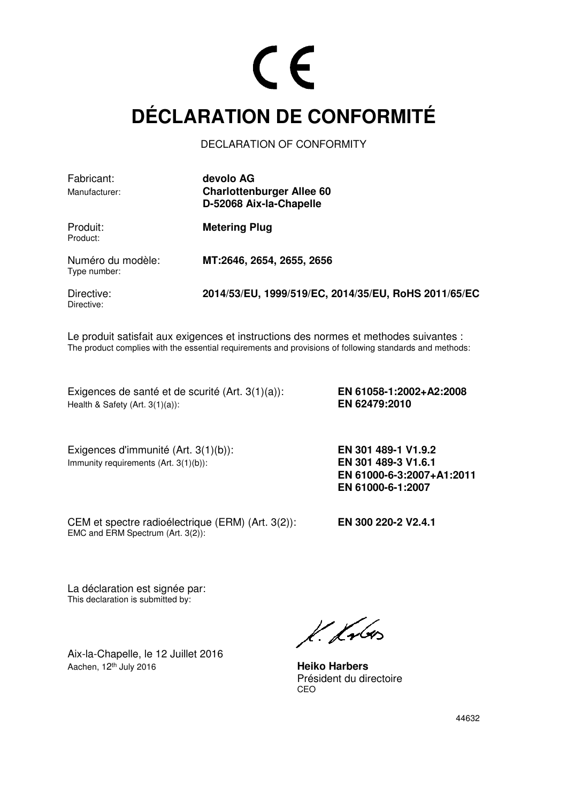### **DÉCLARATION DE CONFORMITÉ**

DECLARATION OF CONFORMITY

| Fabricant:                        | devolo AG                                            |  |
|-----------------------------------|------------------------------------------------------|--|
| Manufacturer:                     | <b>Charlottenburger Allee 60</b>                     |  |
|                                   | D-52068 Aix-la-Chapelle                              |  |
| Produit:<br>Product:              | <b>Metering Plug</b>                                 |  |
| Numéro du modèle:<br>Type number: | MT:2646, 2654, 2655, 2656                            |  |
| Directive:<br>Directive:          | 2014/53/EU, 1999/519/EC, 2014/35/EU, RoHS 2011/65/EC |  |

Le produit satisfait aux exigences et instructions des normes et methodes suivantes : The product complies with the essential requirements and provisions of following standards and methods:

Exigences de santé et de scurité (Art. 3(1)(a)): **EN 61058-1:2002+A2:2008**  Health & Safety (Art. 3(1)(a)): **EN 62479:2010** 

Exigences d'immunité (Art. 3(1)(b)): **EN 301 489-1 V1.9.2**  Immunity requirements (Art. 3(1)(b)): **EN 301 489-3 V1.6.1** 

 **EN 61000-6-3:2007+A1:2011 EN 61000-6-1:2007** 

CEM et spectre radioélectrique (ERM) (Art. 3(2)): **EN 300 220-2 V2.4.1** EMC and ERM Spectrum (Art. 3(2)):

La déclaration est signée par: This declaration is submitted by:

Aix-la-Chapelle, le 12 Juillet 2016 Aachen, 12<sup>th</sup> July 2016

 $k$  krbs

**Heiko Harbers** Président du directoire<br>CEO <u>CEO de la contrada de la contrada de la contrada de la contrada de la contrada de la contrada de la con</u>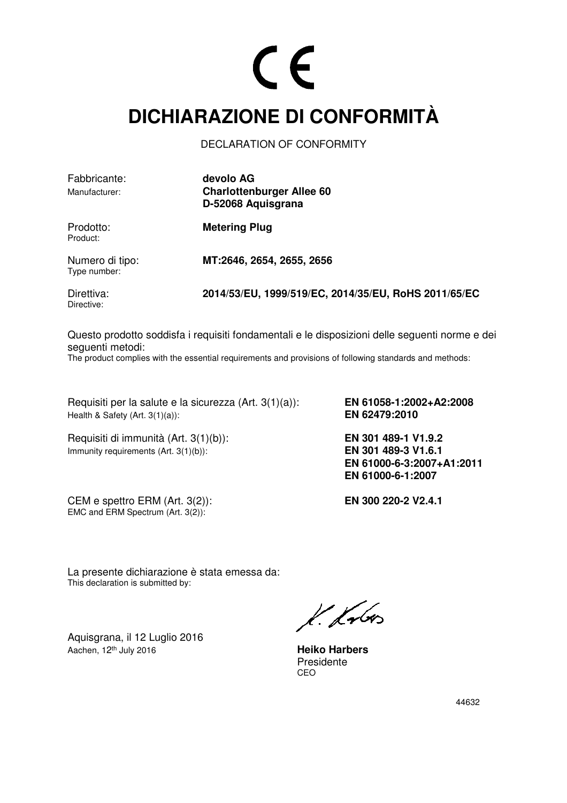#### **DICHIARAZIONE DI CONFORMITÀ**

DECLARATION OF CONFORMITY

| Fabbricante:<br>Manufacturer:   | devolo AG<br><b>Charlottenburger Allee 60</b><br>D-52068 Aquisgrana |
|---------------------------------|---------------------------------------------------------------------|
| Prodotto:<br>Product:           | <b>Metering Plug</b>                                                |
| Numero di tipo:<br>Type number: | MT:2646, 2654, 2655, 2656                                           |
| Direttiva:                      | 2014/53/EU, 1999/519/EC, 2014/35/EU, RoHS 2011/65/EC                |

Directive:

Questo prodotto soddisfa i requisiti fondamentali e le disposizioni delle seguenti norme e dei seguenti metodi:

The product complies with the essential requirements and provisions of following standards and methods:

Requisiti per la salute e la sicurezza (Art. 3(1)(a)): **EN 61058-1:2002+A2:2008**  Health & Safety (Art. 3(1)(a)): **EN 62479:2010** 

Requisiti di immunità (Art. 3(1)(b)): **EN 301 489-1 V1.9.2**  Immunity requirements (Art. 3(1)(b)): **EN 301 489-3 V1.6.1** 

CEM e spettro ERM (Art. 3(2)): **EN 300 220-2 V2.4.1** EMC and ERM Spectrum  $(Art. 3(2))$ :

 **EN 61000-6-3:2007+A1:2011 EN 61000-6-1:2007** 

La presente dichiarazione è stata emessa da: This declaration is submitted by:

Aquisgrana, il 12 Luglio 2016 Aachen, 12<sup>th</sup> July 2016

k. Krbos

**Heiko Harbers** Presidente<br>CEO <u>CEO de la contrada de la contrada de la contrada de la contrada de la contrada de la contrada de la con</u>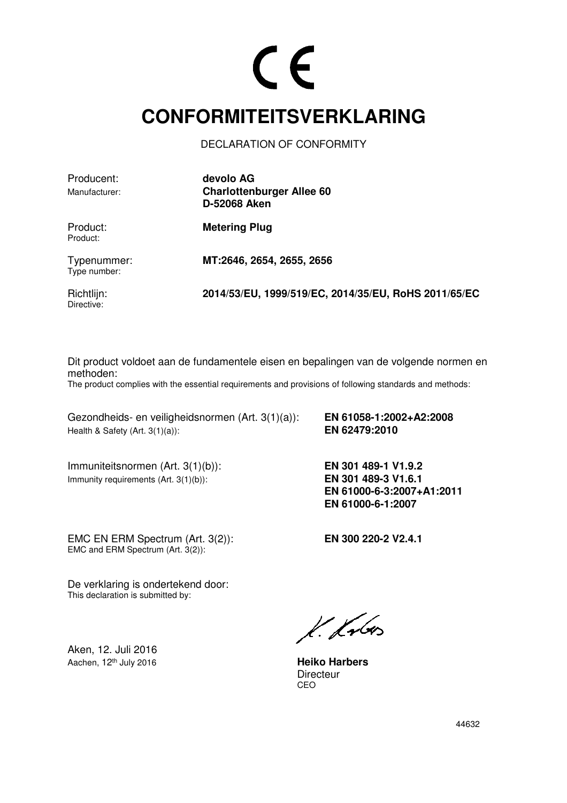### $\epsilon$

#### **CONFORMITEITSVERKLARING**

DECLARATION OF CONFORMITY

Producent: **devolo AG**

Manufacturer: **Charlottenburger Allee 60 D-52068 Aken**

Product:

Product: **Metering Plug** 

Typenummer: **MT:2646, 2654, 2655, 2656**  Type number:

Directive:

Richtlijn: **2014/53/EU, 1999/519/EC, 2014/35/EU, RoHS 2011/65/EC** 

Dit product voldoet aan de fundamentele eisen en bepalingen van de volgende normen en methoden:

The product complies with the essential requirements and provisions of following standards and methods:

Gezondheids- en veiligheidsnormen (Art. 3(1)(a)): **EN 61058-1:2002+A2:2008**  Health & Safety (Art. 3(1)(a)): **EN 62479:2010** 

Immuniteitsnormen (Art. 3(1)(b)): **EN 301 489-1 V1.9.2**  Immunity requirements (Art. 3(1)(b)): **EN 301 489-3 V1.6.1** 

 **EN 61000-6-3:2007+A1:2011 EN 61000-6-1:2007** 

EMC EN ERM Spectrum (Art. 3(2)): **EN 300 220-2 V2.4.1**

EMC and ERM Spectrum (Art. 3(2)):

De verklaring is ondertekend door: This declaration is submitted by:

Aken, 12. Juli 2016 Aachen, 12<sup>th</sup> July 2016 **Heiko Harbers** 

 $k$  krbs

Directeur<br>CEO <u>CEO de la contrada de la contrada de la contrada de la contrada de la contrada de la contrada de la con</u>